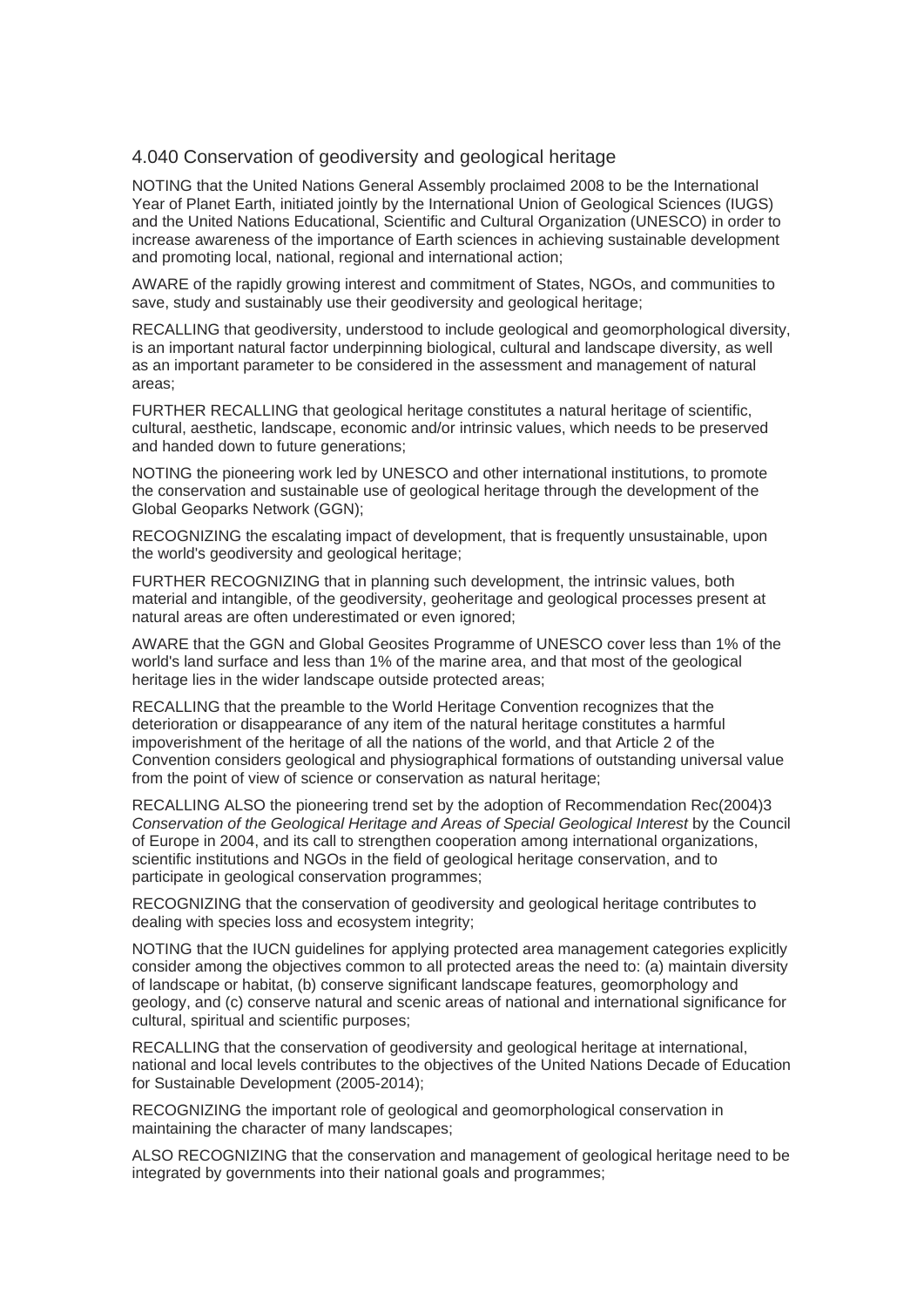## 4.040 Conservation of geodiversity and geological heritage

NOTING that the United Nations General Assembly proclaimed 2008 to be the International Year of Planet Earth, initiated jointly by the International Union of Geological Sciences (IUGS) and the United Nations Educational, Scientific and Cultural Organization (UNESCO) in order to increase awareness of the importance of Earth sciences in achieving sustainable development and promoting local, national, regional and international action;

AWARE of the rapidly growing interest and commitment of States, NGOs, and communities to save, study and sustainably use their geodiversity and geological heritage;

RECALLING that geodiversity, understood to include geological and geomorphological diversity, is an important natural factor underpinning biological, cultural and landscape diversity, as well as an important parameter to be considered in the assessment and management of natural areas;

FURTHER RECALLING that geological heritage constitutes a natural heritage of scientific, cultural, aesthetic, landscape, economic and/or intrinsic values, which needs to be preserved and handed down to future generations;

NOTING the pioneering work led by UNESCO and other international institutions, to promote the conservation and sustainable use of geological heritage through the development of the Global Geoparks Network (GGN);

RECOGNIZING the escalating impact of development, that is frequently unsustainable, upon the world's geodiversity and geological heritage;

FURTHER RECOGNIZING that in planning such development, the intrinsic values, both material and intangible, of the geodiversity, geoheritage and geological processes present at natural areas are often underestimated or even ignored;

AWARE that the GGN and Global Geosites Programme of UNESCO cover less than 1% of the world's land surface and less than 1% of the marine area, and that most of the geological heritage lies in the wider landscape outside protected areas;

RECALLING that the preamble to the World Heritage Convention recognizes that the deterioration or disappearance of any item of the natural heritage constitutes a harmful impoverishment of the heritage of all the nations of the world, and that Article 2 of the Convention considers geological and physiographical formations of outstanding universal value from the point of view of science or conservation as natural heritage;

RECALLING ALSO the pioneering trend set by the adoption of Recommendation Rec(2004)3 *Conservation of the Geological Heritage and Areas of Special Geological Interest* by the Council of Europe in 2004, and its call to strengthen cooperation among international organizations, scientific institutions and NGOs in the field of geological heritage conservation, and to participate in geological conservation programmes;

RECOGNIZING that the conservation of geodiversity and geological heritage contributes to dealing with species loss and ecosystem integrity;

NOTING that the IUCN guidelines for applying protected area management categories explicitly consider among the objectives common to all protected areas the need to: (a) maintain diversity of landscape or habitat, (b) conserve significant landscape features, geomorphology and geology, and (c) conserve natural and scenic areas of national and international significance for cultural, spiritual and scientific purposes;

RECALLING that the conservation of geodiversity and geological heritage at international, national and local levels contributes to the objectives of the United Nations Decade of Education for Sustainable Development (2005-2014);

RECOGNIZING the important role of geological and geomorphological conservation in maintaining the character of many landscapes;

ALSO RECOGNIZING that the conservation and management of geological heritage need to be integrated by governments into their national goals and programmes;